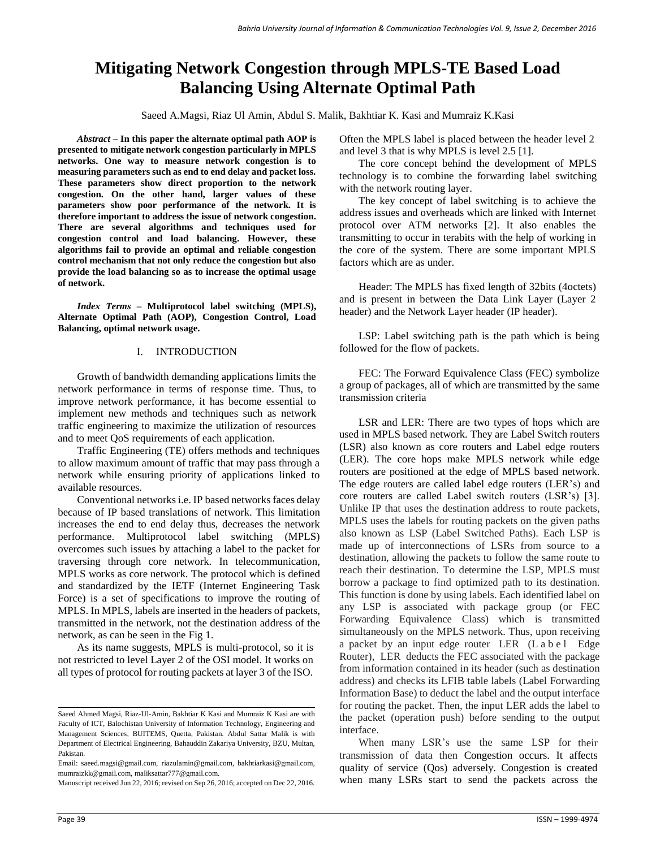# **Mitigating Network Congestion through MPLS-TE Based Load Balancing Using Alternate Optimal Path**

Saeed A.Magsi, Riaz Ul Amin, Abdul S. Malik, Bakhtiar K. Kasi and Mumraiz K.Kasi

*Abstract* **– In this paper the alternate optimal path AOP is presented to mitigate network congestion particularly in MPLS networks. One way to measure network congestion is to measuring parameters such as end to end delay and packet loss. These parameters show direct proportion to the network congestion. On the other hand, larger values of these parameters show poor performance of the network. It is therefore important to address the issue of network congestion. There are several algorithms and techniques used for congestion control and load balancing. However, these algorithms fail to provide an optimal and reliable congestion control mechanism that not only reduce the congestion but also provide the load balancing so as to increase the optimal usage of network.**

*Index Terms –* **Multiprotocol label switching (MPLS), Alternate Optimal Path (AOP), Congestion Control, Load Balancing, optimal network usage.**

## I. INTRODUCTION

Growth of bandwidth demanding applications limits the network performance in terms of response time. Thus, to improve network performance, it has become essential to implement new methods and techniques such as network traffic engineering to maximize the utilization of resources and to meet QoS requirements of each application.

Traffic Engineering (TE) offers methods and techniques to allow maximum amount of traffic that may pass through a network while ensuring priority of applications linked to available resources.

Conventional networks i.e. IP based networks faces delay because of IP based translations of network. This limitation increases the end to end delay thus, decreases the network performance. Multiprotocol label switching (MPLS) overcomes such issues by attaching a label to the packet for traversing through core network. In telecommunication, MPLS works as core network. The protocol which is defined and standardized by the IETF (Internet Engineering Task Force) is a set of specifications to improve the routing of MPLS. In MPLS, labels are inserted in the headers of packets, transmitted in the network, not the destination address of the network, as can be seen in the Fig 1.

As its name suggests, MPLS is multi-protocol, so it is not restricted to level Layer 2 of the OSI model. It works on all types of protocol for routing packets at layer 3 of the ISO.

 $\overline{a}$ 

Manuscript received Jun 22, 2016; revised on Sep 26, 2016; accepted on Dec 22, 2016.

Often the MPLS label is placed between the header level 2 and level 3 that is why MPLS is level 2.5 [1].

The core concept behind the development of MPLS technology is to combine the forwarding label switching with the network routing layer.

The key concept of label switching is to achieve the address issues and overheads which are linked with Internet protocol over ATM networks [2]. It also enables the transmitting to occur in terabits with the help of working in the core of the system. There are some important MPLS factors which are as under.

Header: The MPLS has fixed length of 32bits (4octets) and is present in between the Data Link Layer (Layer 2 header) and the Network Layer header (IP header).

LSP: Label switching path is the path which is being followed for the flow of packets.

FEC: The Forward Equivalence Class (FEC) symbolize a group of packages, all of which are transmitted by the same transmission criteria

LSR and LER: There are two types of hops which are used in MPLS based network. They are Label Switch routers (LSR) also known as core routers and Label edge routers (LER). The core hops make MPLS network while edge routers are positioned at the edge of MPLS based network. The edge routers are called label edge routers (LER's) and core routers are called Label switch routers (LSR's) [3]. Unlike IP that uses the destination address to route packets, MPLS uses the labels for routing packets on the given paths also known as LSP (Label Switched Paths). Each LSP is made up of interconnections of LSRs from source to a destination, allowing the packets to follow the same route to reach their destination. To determine the LSP, MPLS must borrow a package to find optimized path to its destination. This function is done by using labels. Each identified label on any LSP is associated with package group (or FEC Forwarding Equivalence Class) which is transmitted simultaneously on the MPLS network. Thus, upon receiving a packet by an input edge router LER (L a b e l Edge Router), LER deducts the FEC associated with the package from information contained in its header (such as destination address) and checks its LFIB table labels (Label Forwarding Information Base) to deduct the label and the output interface for routing the packet. Then, the input LER adds the label to the packet (operation push) before sending to the output interface.

When many LSR's use the same LSP for their transmission of data then Congestion occurs. It affects quality of service (Qos) adversely. Congestion is created when many LSRs start to send the packets across the

Saeed Ahmed Magsi, Riaz-Ul-Amin, Bakhtiar K Kasi and Mumraiz K Kasi are with Faculty of ICT, Balochistan University of Information Technology, Engineering and Management Sciences, BUITEMS, Quetta, Pakistan. Abdul Sattar Malik is with Department of Electrical Engineering, [Bahauddin Zakariya University, B](http://www.bzu.edu.pk/)ZU, Multan, Pakistan.

Email: saeed.magsi@gmail.com, [riazulamin@gmail.com,](mailto:riazulamin@gmail.com) [bakhtiarkasi@gmail.com,](mailto:bakhtiarkasi@gmail.com)  [mumraizkk@gmail.com,](mailto:mumraizkk@gmail.com) [maliksattar777@gmail.com.](mailto:maliksattar777@gmail.com)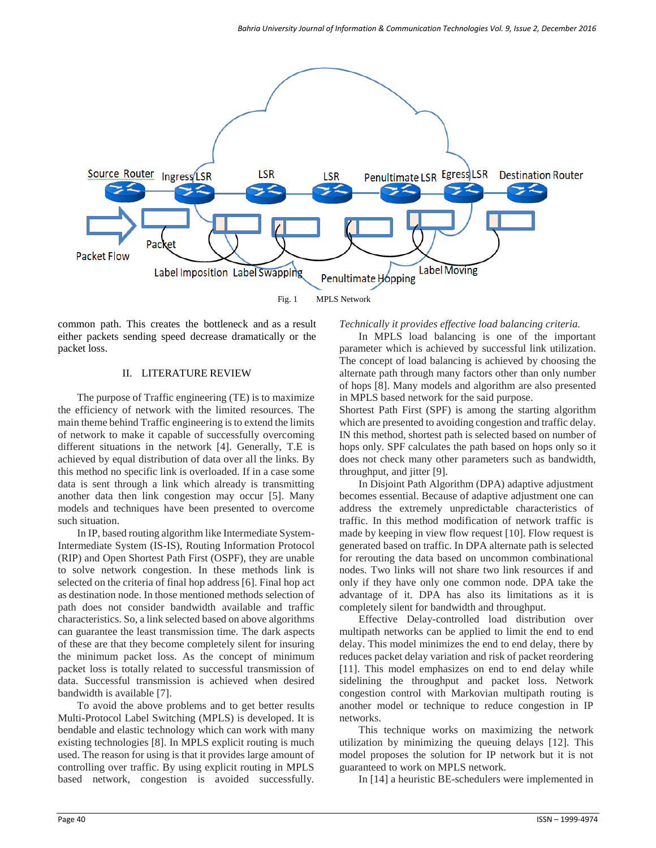

common path. This creates the bottleneck and as a result either packets sending speed decrease dramatically or the packet loss.

### II. LITERATURE REVIEW

The purpose of Traffic engineering (TE) is to maximize the efficiency of network with the limited resources. The main theme behind Traffic engineering is to extend the limits of network to make it capable of successfully overcoming different situations in the network [4]. Generally, T.E is achieved by equal distribution of data over all the links. By this method no specific link is overloaded. If in a case some data is sent through a link which already is transmitting another data then link congestion may occur [5]. Many models and techniques have been presented to overcome such situation.

In IP, based routing algorithm like Intermediate System-Intermediate System (IS-IS), Routing Information Protocol (RIP) and Open Shortest Path First (OSPF), they are unable to solve network congestion. In these methods link is selected on the criteria of final hop address [6]. Final hop act as destination node. In those mentioned methods selection of path does not consider bandwidth available and traffic characteristics. So, a link selected based on above algorithms can guarantee the least transmission time. The dark aspects of these are that they become completely silent for insuring the minimum packet loss. As the concept of minimum packet loss is totally related to successful transmission of data. Successful transmission is achieved when desired bandwidth is available [7].

To avoid the above problems and to get better results Multi-Protocol Label Switching (MPLS) is developed. It is bendable and elastic technology which can work with many existing technologies [8]. In MPLS explicit routing is much used. The reason for using is that it provides large amount of controlling over traffic. By using explicit routing in MPLS based network, congestion is avoided successfully. *Technically it provides effective load balancing criteria.*

In MPLS load balancing is one of the important parameter which is achieved by successful link utilization. The concept of load balancing is achieved by choosing the alternate path through many factors other than only number of hops [8]. Many models and algorithm are also presented in MPLS based network for the said purpose.

Shortest Path First (SPF) is among the starting algorithm which are presented to avoiding congestion and traffic delay. IN this method, shortest path is selected based on number of hops only. SPF calculates the path based on hops only so it does not check many other parameters such as bandwidth, throughput, and jitter [9].

In Disjoint Path Algorithm (DPA) adaptive adjustment becomes essential. Because of adaptive adjustment one can address the extremely unpredictable characteristics of traffic. In this method modification of network traffic is made by keeping in view flow request [10]. Flow request is generated based on traffic. In DPA alternate path is selected for rerouting the data based on uncommon combinational nodes. Two links will not share two link resources if and only if they have only one common node. DPA take the advantage of it. DPA has also its limitations as it is completely silent for bandwidth and throughput.

Effective Delay-controlled load distribution over multipath networks can be applied to limit the end to end delay. This model minimizes the end to end delay, there by reduces packet delay variation and risk of packet reordering [11]. This model emphasizes on end to end delay while sidelining the throughput and packet loss. Network congestion control with Markovian multipath routing is another model or technique to reduce congestion in IP networks.

This technique works on maximizing the network utilization by minimizing the queuing delays [12]. This model proposes the solution for IP network but it is not guaranteed to work on MPLS network.

In [14] a heuristic BE-schedulers were implemented in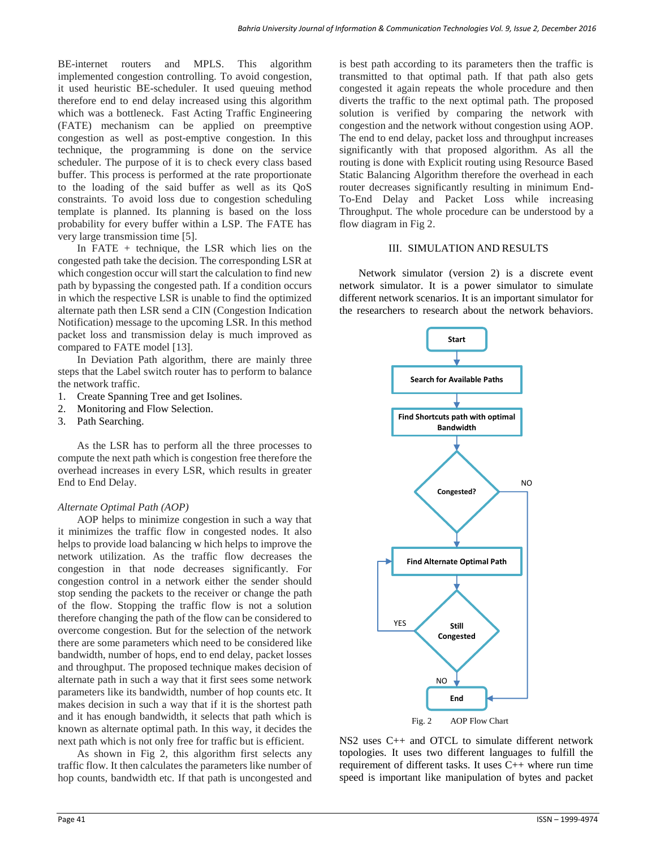BE-internet routers and MPLS. This algorithm implemented congestion controlling. To avoid congestion, it used heuristic BE-scheduler. It used queuing method therefore end to end delay increased using this algorithm which was a bottleneck. Fast Acting Traffic Engineering (FATE) mechanism can be applied on preemptive congestion as well as post-emptive congestion. In this technique, the programming is done on the service scheduler. The purpose of it is to check every class based buffer. This process is performed at the rate proportionate to the loading of the said buffer as well as its QoS constraints. To avoid loss due to congestion scheduling template is planned. Its planning is based on the loss probability for every buffer within a LSP. The FATE has very large transmission time [5].

In FATE + technique, the LSR which lies on the congested path take the decision. The corresponding LSR at which congestion occur will start the calculation to find new path by bypassing the congested path. If a condition occurs in which the respective LSR is unable to find the optimized alternate path then LSR send a CIN (Congestion Indication Notification) message to the upcoming LSR. In this method packet loss and transmission delay is much improved as compared to FATE model [13].

In Deviation Path algorithm, there are mainly three steps that the Label switch router has to perform to balance the network traffic.

- 1. Create Spanning Tree and get Isolines.
- 2. Monitoring and Flow Selection.
- 3. Path Searching.

As the LSR has to perform all the three processes to compute the next path which is congestion free therefore the overhead increases in every LSR, which results in greater End to End Delay.

# *Alternate Optimal Path (AOP)*

AOP helps to minimize congestion in such a way that it minimizes the traffic flow in congested nodes. It also helps to provide load balancing w hich helps to improve the network utilization. As the traffic flow decreases the congestion in that node decreases significantly. For congestion control in a network either the sender should stop sending the packets to the receiver or change the path of the flow. Stopping the traffic flow is not a solution therefore changing the path of the flow can be considered to overcome congestion. But for the selection of the network there are some parameters which need to be considered like bandwidth, number of hops, end to end delay, packet losses and throughput. The proposed technique makes decision of alternate path in such a way that it first sees some network parameters like its bandwidth, number of hop counts etc. It makes decision in such a way that if it is the shortest path and it has enough bandwidth, it selects that path which is known as alternate optimal path. In this way, it decides the next path which is not only free for traffic but is efficient.

As shown in Fig 2, this algorithm first selects any traffic flow. It then calculates the parameters like number of hop counts, bandwidth etc. If that path is uncongested and

is best path according to its parameters then the traffic is transmitted to that optimal path. If that path also gets congested it again repeats the whole procedure and then diverts the traffic to the next optimal path. The proposed solution is verified by comparing the network with congestion and the network without congestion using AOP. The end to end delay, packet loss and throughput increases significantly with that proposed algorithm. As all the routing is done with Explicit routing using Resource Based Static Balancing Algorithm therefore the overhead in each router decreases significantly resulting in minimum End-To-End Delay and Packet Loss while increasing Throughput. The whole procedure can be understood by a flow diagram in Fig 2.

# III. SIMULATION AND RESULTS

Network simulator (version 2) is a discrete event network simulator. It is a power simulator to simulate different network scenarios. It is an important simulator for the researchers to research about the network behaviors.



NS2 uses C++ and OTCL to simulate different network topologies. It uses two different languages to fulfill the requirement of different tasks. It uses C++ where run time speed is important like manipulation of bytes and packet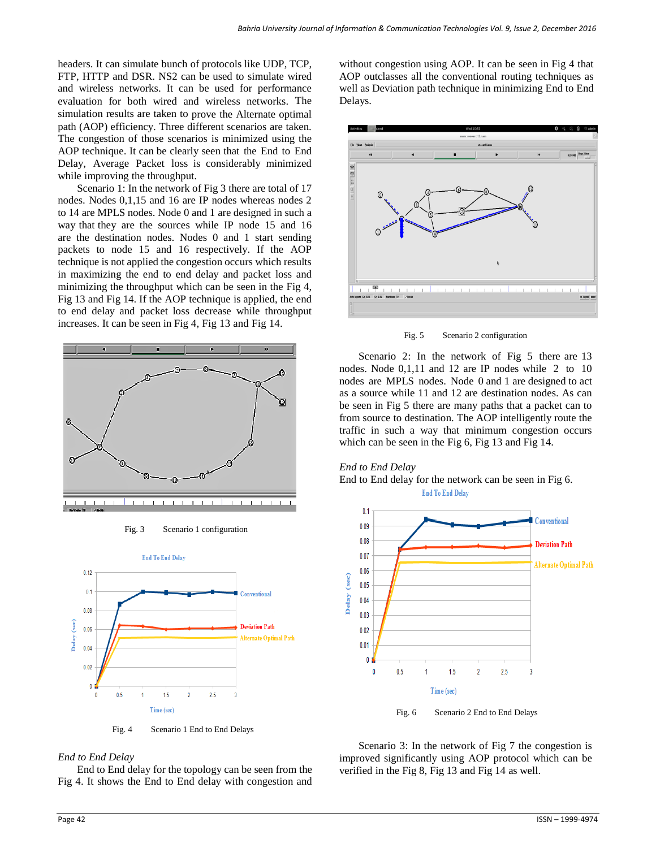headers. It can simulate bunch of protocols like UDP, TCP, FTP, HTTP and DSR. NS2 can be used to simulate wired and wireless networks. It can be used for performance evaluation for both wired and wireless networks. The simulation results are taken to prove the Alternate optimal path (AOP) efficiency. Three different scenarios are taken. The congestion of those scenarios is minimized using the AOP technique. It can be clearly seen that the End to End Delay, Average Packet loss is considerably minimized while improving the throughput.

Scenario 1: In the network of Fig 3 there are total of 17 nodes. Nodes 0,1,15 and 16 are IP nodes whereas nodes 2 to 14 are MPLS nodes. Node 0 and 1 are designed in such a way that they are the sources while IP node 15 and 16 are the destination nodes. Nodes 0 and 1 start sending packets to node 15 and 16 respectively. If the AOP technique is not applied the congestion occurs which results in maximizing the end to end delay and packet loss and minimizing the throughput which can be seen in the Fig 4, Fig 13 and Fig 14. If the AOP technique is applied, the end to end delay and packet loss decrease while throughput increases. It can be seen in Fig 4, Fig 13 and Fig 14.



Fig. 3 Scenario 1 configuration



Fig. 4 Scenario 1 End to End Delays

#### *End to End Delay*

End to End delay for the topology can be seen from the Fig 4. It shows the End to End delay with congestion and without congestion using AOP. It can be seen in Fig 4 that AOP outclasses all the conventional routing techniques as well as Deviation path technique in minimizing End to End Delays.



Fig. 5 Scenario 2 configuration

Scenario 2: In the network of Fig 5 there are 13 nodes. Node 0,1,11 and 12 are IP nodes while 2 to 10 nodes are MPLS nodes. Node 0 and 1 are designed to act as a source while 11 and 12 are destination nodes. As can be seen in Fig 5 there are many paths that a packet can to from source to destination. The AOP intelligently route the traffic in such a way that minimum congestion occurs which can be seen in the Fig 6, Fig 13 and Fig 14.

#### *End to End Delay*

End to End delay for the network can be seen in Fig 6. **End To End Delay** 



Scenario 3: In the network of Fig 7 the congestion is

improved significantly using AOP protocol which can be verified in the Fig 8, Fig 13 and Fig 14 as well.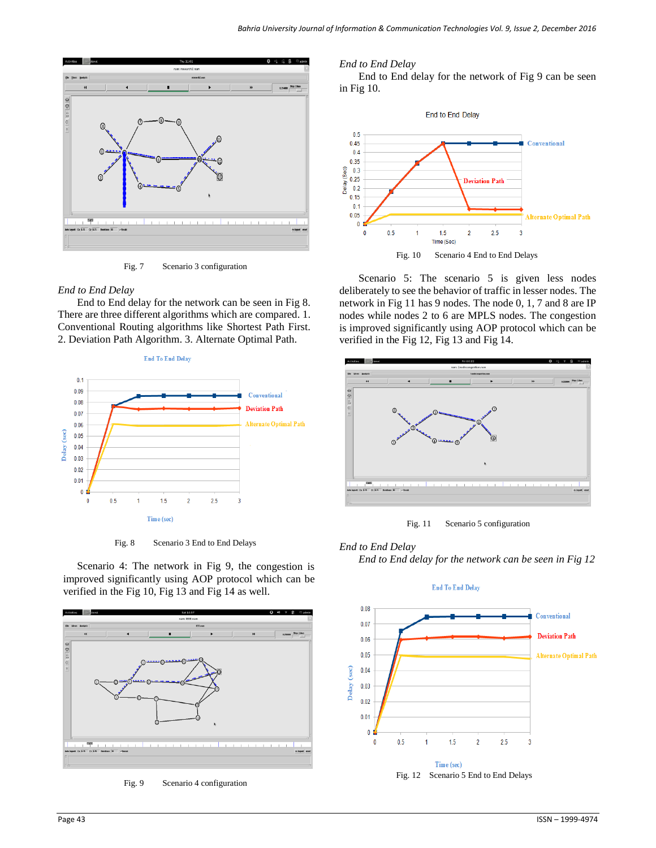

Fig. 7 Scenario 3 configuration

## *End to End Delay*

End to End delay for the network can be seen in Fig 8. There are three different algorithms which are compared. 1. Conventional Routing algorithms like Shortest Path First. 2. Deviation Path Algorithm. 3. Alternate Optimal Path.





Fig. 8 Scenario 3 End to End Delays

Scenario 4: The network in Fig 9, the congestion is improved significantly using AOP protocol which can be verified in the Fig 10, Fig 13 and Fig 14 as well.



Fig. 9 Scenario 4 configuration

## *End to End Delay*

End to End delay for the network of Fig 9 can be seen in Fig 10.



Scenario 5: The scenario 5 is given less nodes deliberately to see the behavior of traffic in lesser nodes. The network in Fig 11 has 9 nodes. The node 0, 1, 7 and 8 are IP nodes while nodes 2 to 6 are MPLS nodes. The congestion is improved significantly using AOP protocol which can be verified in the Fig 12, Fig 13 and Fig 14.



Fig. 11 Scenario 5 configuration

# *End to End Delay*

*End to End delay for the network can be seen in Fig 12*

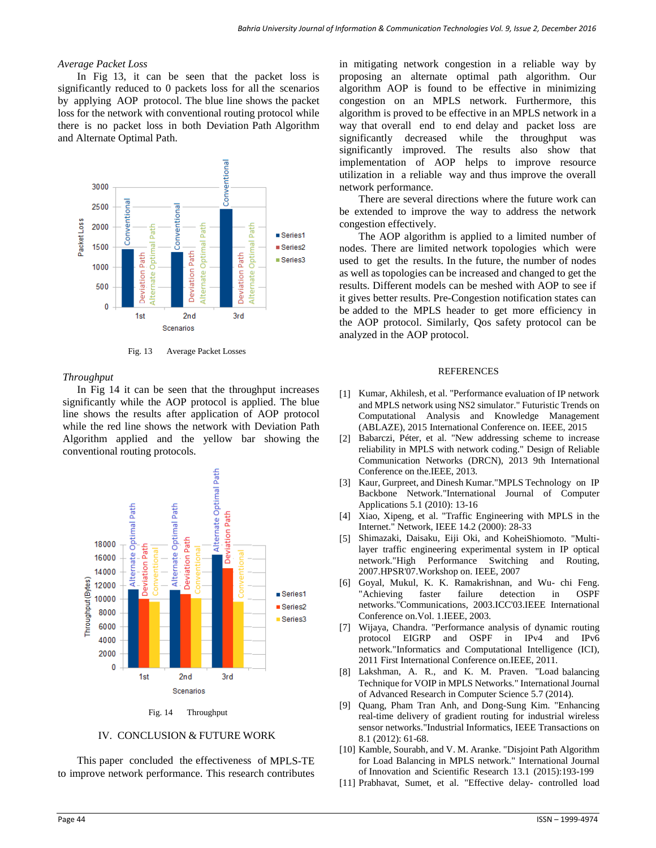### *Average Packet Loss*

In Fig 13, it can be seen that the packet loss is significantly reduced to 0 packets loss for all the scenarios by applying AOP protocol. The blue line shows the packet loss for the network with conventional routing protocol while there is no packet loss in both Deviation Path Algorithm and Alternate Optimal Path.



Fig. 13 Average Packet Losses

### *Throughput*

In Fig 14 it can be seen that the throughput increases significantly while the AOP protocol is applied. The blue line shows the results after application of AOP protocol while the red line shows the network with Deviation Path Algorithm applied and the yellow bar showing the conventional routing protocols.



Fig. 14 Throughput

# IV. CONCLUSION & FUTURE WORK

This paper concluded the effectiveness of MPLS-TE to improve network performance. This research contributes in mitigating network congestion in a reliable way by proposing an alternate optimal path algorithm. Our algorithm AOP is found to be effective in minimizing congestion on an MPLS network. Furthermore, this algorithm is proved to be effective in an MPLS network in a way that overall end to end delay and packet loss are significantly decreased while the throughput was significantly improved. The results also show that implementation of AOP helps to improve resource utilization in a reliable way and thus improve the overall network performance.

There are several directions where the future work can be extended to improve the way to address the network congestion effectively.

The AOP algorithm is applied to a limited number of nodes. There are limited network topologies which were used to get the results. In the future, the number of nodes as well as topologies can be increased and changed to get the results. Different models can be meshed with AOP to see if it gives better results. Pre-Congestion notification states can be added to the MPLS header to get more efficiency in the AOP protocol. Similarly, Qos safety protocol can be analyzed in the AOP protocol.

#### **REFERENCES**

- [1] Kumar, Akhilesh, et al. "Performance evaluation of IP network and MPLS network using NS2 simulator." Futuristic Trends on Computational Analysis and Knowledge Management (ABLAZE), 2015 International Conference on. IEEE, 2015
- [2] Babarczi, Péter, et al. "New addressing scheme to increase reliability in MPLS with network coding." Design of Reliable Communication Networks (DRCN), 2013 9th International Conference on the.IEEE, 2013.
- [3] Kaur, Gurpreet, and Dinesh Kumar."MPLS Technology on IP Backbone Network."International Journal of Computer Applications 5.1 (2010): 13-16
- [4] Xiao, Xipeng, et al. "Traffic Engineering with MPLS in the Internet." Network, IEEE 14.2 (2000): 28-33
- [5] Shimazaki, Daisaku, Eiji Oki, and KoheiShiomoto. "Multilayer traffic engineering experimental system in IP optical network."High Performance Switching and Routing, 2007.HPSR'07.Workshop on. IEEE, 2007
- [6] Goyal, Mukul, K. K. Ramakrishnan, and Wu- chi Feng. "Achieving faster failure detection in OSPF networks."Communications, 2003.ICC'03.IEEE International Conference on.Vol. 1.IEEE, 2003.
- [7] Wijaya, Chandra. "Performance analysis of dynamic routing protocol EIGRP and OSPF in IPv4 and IPv6 network."Informatics and Computational Intelligence (ICI), 2011 First International Conference on.IEEE, 2011.
- [8] Lakshman, A. R., and K. M. Praven. "Load balancing Technique for VOIP in MPLS Networks." International Journal of Advanced Research in Computer Science 5.7 (2014).
- [9] Quang, Pham Tran Anh, and Dong-Sung Kim. "Enhancing real-time delivery of gradient routing for industrial wireless sensor networks."Industrial Informatics, IEEE Transactions on 8.1 (2012): 61-68.
- [10] Kamble, Sourabh, and V. M. Aranke. "Disjoint Path Algorithm for Load Balancing in MPLS network." International Journal of Innovation and Scientific Research 13.1 (2015):193-199
- [11] Prabhavat, Sumet, et al. "Effective delay- controlled load